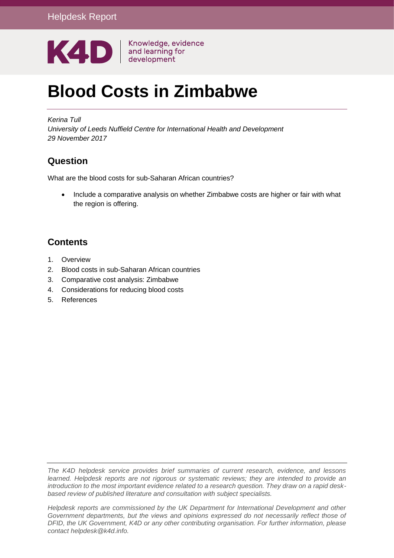

# **Blood Costs in Zimbabwe**

*Kerina Tull University of Leeds Nuffield Centre for International Health and Development 29 November 2017*

# **Question**

What are the blood costs for sub-Saharan African countries?

• Include a comparative analysis on whether Zimbabwe costs are higher or fair with what the region is offering.

# **Contents**

- 1. [Overview](#page-0-0)
- 2. Blood costs in sub-Saharan African countries
- 3. Comparative cost analysis: Zimbabwe
- 4. Considerations for reducing blood costs
- <span id="page-0-0"></span>5. [References](#page-15-0)

*The K4D helpdesk service provides brief summaries of current research, evidence, and lessons learned. Helpdesk reports are not rigorous or systematic reviews; they are intended to provide an introduction to the most important evidence related to a research question. They draw on a rapid deskbased review of published literature and consultation with subject specialists.* 

*Helpdesk reports are commissioned by the UK Department for International Development and other Government departments, but the views and opinions expressed do not necessarily reflect those of DFID, the UK Government, K4D or any other contributing organisation. For further information, please contact helpdesk@k4d.info.*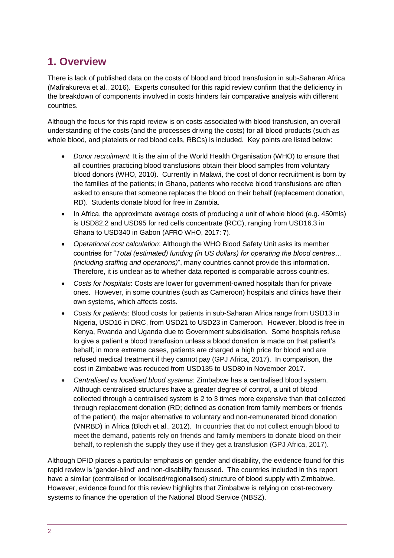# **1. Overview**

There is lack of published data on the costs of blood and blood transfusion in sub-Saharan Africa (Mafirakureva et al., 2016). Experts consulted for this rapid review confirm that the deficiency in the breakdown of components involved in costs hinders fair comparative analysis with different countries.

Although the focus for this rapid review is on costs associated with blood transfusion, an overall understanding of the costs (and the processes driving the costs) for all blood products (such as whole blood, and platelets or red blood cells, RBCs) is included. Key points are listed below:

- *Donor recruitment*: It is the aim of the World Health Organisation (WHO) to ensure that all countries practicing blood transfusions obtain their blood samples from voluntary blood donors (WHO, 2010). Currently in Malawi, the cost of donor recruitment is born by the families of the patients; in Ghana, patients who receive blood transfusions are often asked to ensure that someone replaces the blood on their behalf (replacement donation, RD). Students donate blood for free in Zambia.
- In Africa, the approximate average costs of producing a unit of whole blood (e.g. 450mls) is USD82.2 and USD95 for red cells concentrate (RCC), ranging from USD16.3 in Ghana to USD340 in Gabon (AFRO WHO, 2017: 7).
- *Operational cost calculation*: Although the WHO Blood Safety Unit asks its member countries for "*Total (estimated) funding (in US dollars) for operating the blood centres… (including staffing and operations)*", many countries cannot provide this information. Therefore, it is unclear as to whether data reported is comparable across countries.
- *Costs for hospitals*: Costs are lower for government-owned hospitals than for private ones. However, in some countries (such as Cameroon) hospitals and clinics have their own systems, which affects costs.
- *Costs for patients*: Blood costs for patients in sub-Saharan Africa range from USD13 in Nigeria, USD16 in DRC, from USD21 to USD23 in Cameroon. However, blood is free in Kenya, Rwanda and Uganda due to Government subsidisation. Some hospitals refuse to give a patient a blood transfusion unless a blood donation is made on that patient's behalf; in more extreme cases, patients are charged a high price for blood and are refused medical treatment if they cannot pay (GPJ Africa, 2017). In comparison, the cost in Zimbabwe was reduced from USD135 to USD80 in November 2017.
- *Centralised vs localised blood systems*: Zimbabwe has a centralised blood system. Although centralised structures have a greater degree of control, a unit of blood collected through a centralised system is 2 to 3 times more expensive than that collected through replacement donation (RD; defined as donation from family members or friends of the patient), the major alternative to voluntary and non-remunerated blood donation (VNRBD) in Africa (Bloch et al., 2012). In countries that do not collect enough blood to meet the demand, patients rely on friends and family members to donate blood on their behalf, to replenish the supply they use if they get a transfusion (GPJ Africa, 2017).

Although DFID places a particular emphasis on gender and disability, the evidence found for this rapid review is 'gender-blind' and non-disability focussed. The countries included in this report have a similar (centralised or localised/regionalised) structure of blood supply with Zimbabwe. However, evidence found for this review highlights that Zimbabwe is relying on cost-recovery systems to finance the operation of the National Blood Service (NBSZ).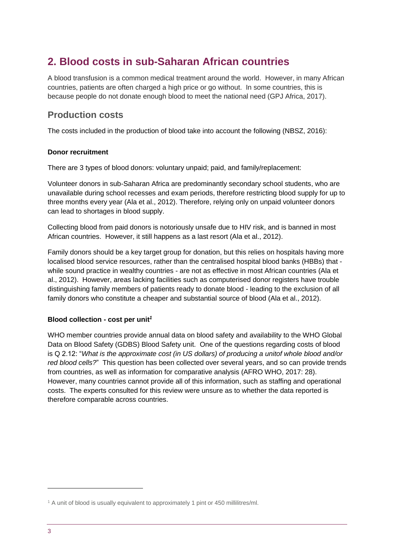# **2. Blood costs in sub-Saharan African countries**

A blood transfusion is a common medical treatment around the world. However, in many African countries, patients are often charged a high price or go without. In some countries, this is because people do not donate enough blood to meet the national need (GPJ Africa, 2017).

### **Production costs**

The costs included in the production of blood take into account the following (NBSZ, 2016):

#### **Donor recruitment**

There are 3 types of blood donors: voluntary unpaid; paid, and family/replacement:

Volunteer donors in sub-Saharan Africa are predominantly secondary school students, who are unavailable during school recesses and exam periods, therefore restricting blood supply for up to three months every year (Ala et al., 2012). Therefore, relying only on unpaid volunteer donors can lead to shortages in blood supply.

Collecting blood from paid donors is notoriously unsafe due to HIV risk, and is banned in most African countries. However, it still happens as a last resort (Ala et al., 2012).

Family donors should be a key target group for donation, but this relies on hospitals having more localised blood service resources, rather than the centralised hospital blood banks (HBBs) that while sound practice in wealthy countries - are not as effective in most African countries (Ala et al., 2012). However, areas lacking facilities such as computerised donor registers have trouble distinguishing family members of patients ready to donate blood - leading to the exclusion of all family donors who constitute a cheaper and substantial source of blood (Ala et al., 2012).

#### **Blood collection - cost per unit***<sup>1</sup>*

WHO member countries provide annual data on blood safety and availability to the WHO Global Data on Blood Safety (GDBS) Blood Safety unit. One of the questions regarding costs of blood is Q 2.12: "*What is the approximate cost (in US dollars) of producing a unitof whole blood and/or red blood cells?*" This question has been collected over several years, and so can provide trends from countries, as well as information for comparative analysis (AFRO WHO, 2017: 28). However, many countries cannot provide all of this information, such as staffing and operational costs. The experts consulted for this review were unsure as to whether the data reported is therefore comparable across countries.

-

<sup>&</sup>lt;sup>1</sup> A unit of blood is usually equivalent to approximately 1 pint or 450 millilitres/ml.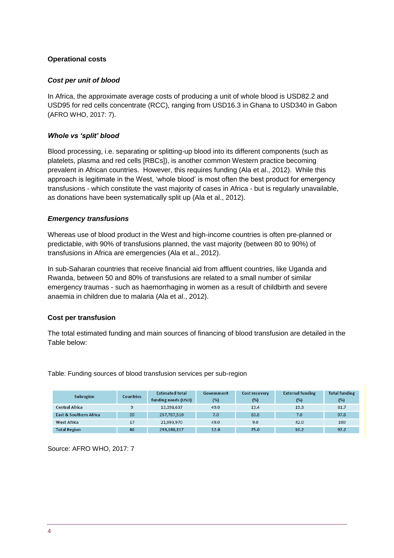#### **Operational costs**

#### *Cost per unit of blood*

In Africa, the approximate average costs of producing a unit of whole blood is USD82.2 and USD95 for red cells concentrate (RCC), ranging from USD16.3 in Ghana to USD340 in Gabon (AFRO WHO, 2017: 7).

#### *Whole vs 'split' blood*

Blood processing, i.e. separating or splitting-up blood into its different components (such as platelets, plasma and red cells [RBCs]), is another common Western practice becoming prevalent in African countries. However, this requires funding (Ala et al., 2012). While this approach is legitimate in the West, 'whole blood' is most often the best product for emergency transfusions - which constitute the vast majority of cases in Africa - but is regularly unavailable, as donations have been systematically split up (Ala et al., 2012).

#### *Emergency transfusions*

Whereas use of blood product in the West and high-income countries is often pre-planned or predictable, with 90% of transfusions planned, the vast majority (between 80 to 90%) of transfusions in Africa are emergencies (Ala et al., 2012).

In sub-Saharan countries that receive financial aid from affluent countries, like Uganda and Rwanda, between 50 and 80% of transfusions are related to a small number of similar emergency traumas - such as haemorrhaging in women as a result of childbirth and severe anaemia in children due to malaria (Ala et al., 2012).

#### **Cost per transfusion**

The total estimated funding and main sources of financing of blood transfusion are detailed in the Table below:

Table: Funding sources of blood transfusion services per sub-region

| <b>Subregion</b>                  | <b>Countries</b> | <b>Estimated total</b> | Government | <b>Cost recovery</b> | <b>External funding</b> | <b>Total funding</b> |
|-----------------------------------|------------------|------------------------|------------|----------------------|-------------------------|----------------------|
|                                   |                  | funding needs (USD)    | (%)        | (%)                  | (%)                     | $(\%)$               |
| <b>Central Africa</b>             |                  | 13,398,637             | 49.0       | 13.4                 | 19.3                    | 81.7                 |
| <b>East &amp; Southern Africa</b> | 20               | 257,787,510            | 7.0        | 83.8                 | 7.0                     | 97.8                 |
| <b>West Africa</b>                | 17               | 21,993,970             | 49.0       | 9.0                  | 42.0                    | 100                  |
| <b>Total Region</b>               | 46               | 293.180.117            | 12.0       | 75.0                 | 10.2                    | 97.2                 |

Source: AFRO WHO, 2017: 7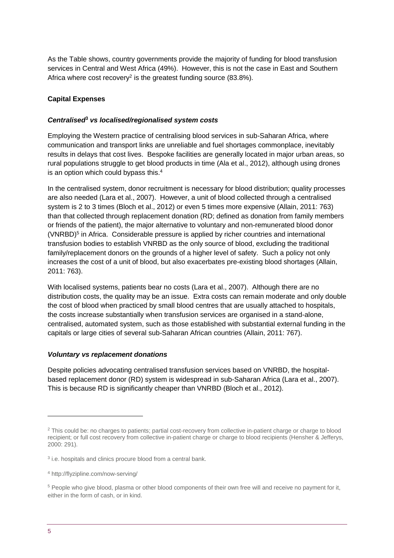As the Table shows, country governments provide the majority of funding for blood transfusion services in Central and West Africa (49%). However, this is not the case in East and Southern Africa where cost recovery<sup>2</sup> is the greatest funding source (83.8%).

#### **Capital Expenses**

#### *Centralised***<sup>3</sup>** *vs localised/regionalised system costs*

Employing the Western practice of centralising blood services in sub-Saharan Africa, where communication and transport links are unreliable and fuel shortages commonplace, inevitably results in delays that cost lives. Bespoke facilities are generally located in major urban areas, so rural populations struggle to get blood products in time (Ala et al., 2012), although using drones is an option which could bypass this. 4

In the centralised system, donor recruitment is necessary for blood distribution; quality processes are also needed (Lara et al., 2007). However, a unit of blood collected through a centralised system is 2 to 3 times (Bloch et al., 2012) or even 5 times more expensive (Allain, 2011: 763) than that collected through replacement donation (RD; defined as donation from family members or friends of the patient), the major alternative to voluntary and non-remunerated blood donor (VNRBD)<sup>5</sup> in Africa. Considerable pressure is applied by richer countries and international transfusion bodies to establish VNRBD as the only source of blood, excluding the traditional family/replacement donors on the grounds of a higher level of safety. Such a policy not only increases the cost of a unit of blood, but also exacerbates pre-existing blood shortages (Allain, 2011: 763).

With localised systems, patients bear no costs (Lara et al., 2007). Although there are no distribution costs, the quality may be an issue. Extra costs can remain moderate and only double the cost of blood when practiced by small blood centres that are usually attached to hospitals, the costs increase substantially when transfusion services are organised in a stand-alone, centralised, automated system, such as those established with substantial external funding in the capitals or large cities of several sub-Saharan African countries (Allain, 2011: 767).

#### *Voluntary vs replacement donations*

Despite policies advocating centralised transfusion services based on VNRBD, the hospitalbased replacement donor (RD) system is widespread in sub-Saharan Africa (Lara et al., 2007). This is because RD is significantly cheaper than VNRBD (Bloch et al., 2012).

<sup>&</sup>lt;sup>2</sup> This could be: no charges to patients; partial cost-recovery from collective in-patient charge or charge to blood recipient; or full cost recovery from collective in-patient charge or charge to blood recipients (Hensher & Jefferys, 2000: 291).

<sup>&</sup>lt;sup>3</sup> i.e. hospitals and clinics procure blood from a central bank.

<sup>4</sup> http://flyzipline.com/now-serving/

<sup>&</sup>lt;sup>5</sup> People who give blood, plasma or other blood components of their own free will and receive no payment for it, either in the form of cash, or in kind.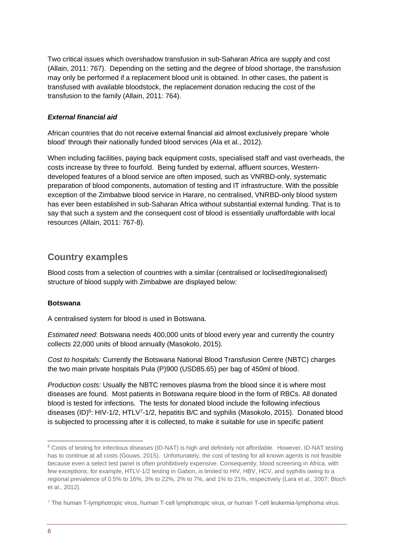Two critical issues which overshadow transfusion in sub-Saharan Africa are supply and cost (Allain, 2011: 767). Depending on the setting and the degree of blood shortage, the transfusion may only be performed if a replacement blood unit is obtained. In other cases, the patient is transfused with available bloodstock, the replacement donation reducing the cost of the transfusion to the family (Allain, 2011: 764).

#### *External financial aid*

African countries that do not receive external financial aid almost exclusively prepare 'whole blood' through their nationally funded blood services (Ala et al., 2012).

When including facilities, paying back equipment costs, specialised staff and vast overheads, the costs increase by three to fourfold. Being funded by external, affluent sources, Westerndeveloped features of a blood service are often imposed, such as VNRBD-only, systematic preparation of blood components, automation of testing and IT infrastructure. With the possible exception of the Zimbabwe blood service in Harare, no centralised, VNRBD-only blood system has ever been established in sub-Saharan Africa without substantial external funding. That is to say that such a system and the consequent cost of blood is essentially unaffordable with local resources (Allain, 2011: 767-8).

### **Country examples**

Blood costs from a selection of countries with a similar (centralised or loclised/regionalised) structure of blood supply with Zimbabwe are displayed below:

#### **Botswana**

A centralised system for blood is used in Botswana.

*Estimated need*: Botswana needs 400,000 units of blood every year and currently the country collects 22,000 units of blood annually (Masokolo, 2015).

*Cost to hospitals:* Currently the Botswana National Blood Transfusion Centre (NBTC) charges the two main private hospitals Pula (P)900 (USD85.65) per bag of 450ml of blood.

*Production costs:* Usually the NBTC removes plasma from the blood since it is where most diseases are found. Most patients in Botswana require blood in the form of RBCs. All donated blood is tested for infections. The tests for donated blood include the following infectious diseases (ID)<sup>6</sup>: HIV-1/2, HTLV<sup>7</sup>-1/2, hepatitis B/C and syphilis (Masokolo, 2015). Donated blood is subjected to processing after it is collected, to make it suitable for use in specific patient

<sup>6</sup> Costs of testing for infectious diseases (ID-NAT) is high and definitely not affordable. However, ID-NAT testing has to continue at all costs (Gouws, 2015).Unfortunately, the cost of testing for all known agents is not feasible because even a select test panel is often prohibitively expensive. Consequently, blood screening in Africa, with few exceptions, for example, HTLV-1/2 testing in Gabon, is limited to HIV, HBV, HCV, and syphilis owing to a regional prevalence of 0.5% to 16%, 3% to 22%, 2% to 7%, and 1% to 21%, respectively (Lara et al., 2007; Bloch et al., 2012).

<sup>7</sup> The human T-lymphotropic virus, human T-cell lymphotropic virus, or human T-cell leukemia-lymphoma virus.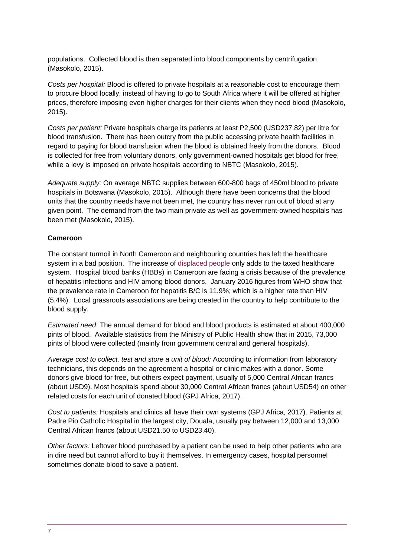populations. Collected blood is then separated into blood components by centrifugation (Masokolo, 2015).

*Costs per hospital:* Blood is offered to private hospitals at a reasonable cost to encourage them to procure blood locally, instead of having to go to South Africa where it will be offered at higher prices, therefore imposing even higher charges for their clients when they need blood (Masokolo, 2015).

*Costs per patient:* Private hospitals charge its patients at least P2,500 (USD237.82) per litre for blood transfusion. There has been outcry from the public accessing private health facilities in regard to paying for blood transfusion when the blood is obtained freely from the donors. Blood is collected for free from voluntary donors, only government-owned hospitals get blood for free, while a levy is imposed on private hospitals according to NBTC (Masokolo, 2015).

*Adequate supply:* On average NBTC supplies between 600-800 bags of 450ml blood to private hospitals in Botswana (Masokolo, 2015). Although there have been concerns that the blood units that the country needs have not been met, the country has never run out of blood at any given point. The demand from the two main private as well as government-owned hospitals has been met (Masokolo, 2015).

#### **Cameroon**

The constant turmoil in North Cameroon and neighbouring countries has left the healthcare system in a bad position. The increase of [displaced](http://www.who.int/hac/crises/cmr/appeals/en/) people only adds to the taxed healthcare system. Hospital blood banks (HBBs) in Cameroon are facing a crisis because of the prevalence of hepatitis infections and HIV among blood donors. January 2016 figures from WHO show that the prevalence rate in Cameroon for hepatitis B/C is 11.9%; which is a higher rate than HIV (5.4%). Local grassroots associations are being created in the country to help contribute to the blood supply.

*Estimated need*: The annual demand for blood and blood products is estimated at about 400,000 pints of blood. Available statistics from the Ministry of Public Health show that in 2015, 73,000 pints of blood were collected (mainly from government central and general hospitals).

*Average cost to collect, test and store a unit of blood:* According to information from laboratory technicians, this depends on the agreement a hospital or clinic makes with a donor. Some donors give blood for free, but others expect payment, usually of 5,000 Central African francs (about USD9). Most hospitals spend about 30,000 Central African francs (about USD54) on other related costs for each unit of donated blood (GPJ Africa, 2017).

*Cost to patients:* Hospitals and clinics all have their own systems (GPJ Africa, 2017). Patients at Padre Pio Catholic Hospital in the largest city, Douala, usually pay between 12,000 and 13,000 Central African francs (about USD21.50 to USD23.40).

*Other factors:* Leftover blood purchased by a patient can be used to help other patients who are in dire need but cannot afford to buy it themselves. In emergency cases, hospital personnel sometimes donate blood to save a patient.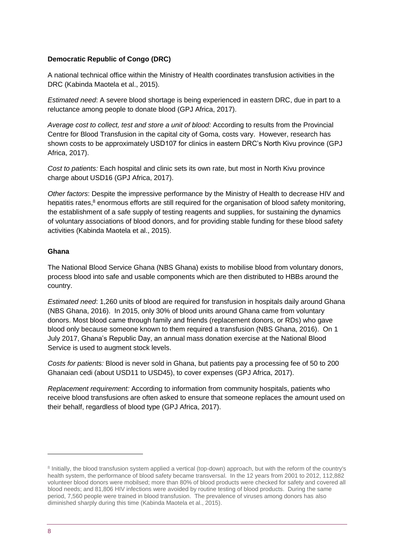#### **Democratic Republic of Congo (DRC)**

A national technical office within the Ministry of Health coordinates transfusion activities in the DRC (Kabinda Maotela et al., 2015).

*Estimated need*: A severe blood shortage is being experienced in eastern DRC, due in part to a reluctance among people to donate blood (GPJ Africa, 2017).

*Average cost to collect, test and store a unit of blood:* According to results from the Provincial Centre for Blood Transfusion in the capital city of Goma, costs vary. However, research has shown costs to be approximately USD107 for clinics in eastern DRC's North Kivu province (GPJ Africa, 2017).

*Cost to patients:* Each hospital and clinic sets its own rate, but most in North Kivu province charge about USD16 (GPJ Africa, 2017).

*Other factors*: Despite the impressive performance by the Ministry of Health to decrease HIV and hepatitis rates,<sup>8</sup> enormous efforts are still required for the organisation of blood safety monitoring, the establishment of a safe supply of testing reagents and supplies, for sustaining the dynamics of voluntary associations of blood donors, and for providing stable funding for these blood safety activities (Kabinda Maotela et al., 2015).

#### **Ghana**

The National Blood Service Ghana (NBS Ghana) exists to mobilise blood from voluntary donors, process blood into safe and usable components which are then distributed to HBBs around the country.

*Estimated need*: 1,260 units of blood are required for transfusion in hospitals daily around Ghana (NBS Ghana, 2016). In 2015, only 30% of blood units around Ghana came from voluntary donors. Most blood came through family and friends (replacement donors, or RDs) who gave blood only because someone known to them required a transfusion (NBS Ghana, 2016). On 1 July 2017, Ghana's Republic Day, an annual mass donation exercise at the National Blood Service is used to augment stock levels.

*Costs for patients:* Blood is never sold in Ghana, but patients pay a processing fee of 50 to 200 Ghanaian cedi (about USD11 to USD45), to cover expenses (GPJ Africa, 2017).

*Replacement requirement:* According to information from community hospitals, patients who receive blood transfusions are often asked to ensure that someone replaces the amount used on their behalf, regardless of blood type (GPJ Africa, 2017).

-

<sup>&</sup>lt;sup>8</sup> Initially, the blood transfusion system applied a vertical (top-down) approach, but with the reform of the country's health system, the performance of blood safety became transversal. In the 12 years from 2001 to 2012, 112,882 volunteer blood donors were mobilsed; more than 80% of blood products were checked for safety and covered all blood needs; and 81,806 HIV infections were avoided by routine testing of blood products. During the same period, 7,560 people were trained in blood transfusion. The prevalence of viruses among donors has also diminished sharply during this time (Kabinda Maotela et al., 2015).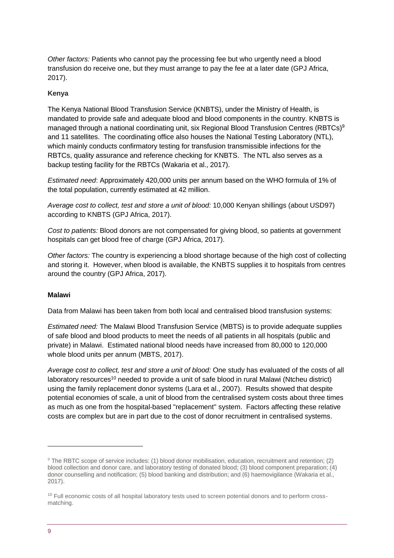*Other factors:* Patients who cannot pay the processing fee but who urgently need a blood transfusion do receive one, but they must arrange to pay the fee at a later date (GPJ Africa, 2017).

#### **Kenya**

The Kenya National Blood Transfusion Service (KNBTS), under the Ministry of Health, is mandated to provide safe and adequate blood and blood components in the country. KNBTS is managed through a national coordinating unit, six Regional Blood Transfusion Centres (RBTCs)<sup>9</sup> and 11 satellites. The coordinating office also houses the National Testing Laboratory (NTL), which mainly conducts confirmatory testing for transfusion transmissible infections for the RBTCs, quality assurance and reference checking for KNBTS. The NTL also serves as a backup testing facility for the RBTCs (Wakaria et al., 2017).

*Estimated need*: Approximately 420,000 units per annum based on the WHO formula of 1% of the total population, currently estimated at 42 million.

*Average cost to collect, test and store a unit of blood:* 10,000 Kenyan shillings (about USD97) according to KNBTS (GPJ Africa, 2017).

*Cost to patients:* Blood donors are not compensated for giving blood, so patients at government hospitals can get blood free of charge (GPJ Africa, 2017).

*Other factors:* The country is experiencing a blood shortage because of the high cost of collecting and storing it. However, when blood is available, the KNBTS supplies it to hospitals from centres around the country (GPJ Africa, 2017).

#### **Malawi**

Data from Malawi has been taken from both local and centralised blood transfusion systems:

*Estimated need:* The Malawi Blood Transfusion Service (MBTS) is to provide adequate supplies of safe blood and blood products to meet the needs of all patients in all hospitals (public and private) in Malawi. Estimated national blood needs have increased from 80,000 to 120,000 whole blood units per annum (MBTS, 2017).

*Average cost to collect, test and store a unit of blood:* One study has evaluated of the costs of all laboratory resources<sup>10</sup> needed to provide a unit of safe blood in rural Malawi (Ntcheu district) using the family replacement donor systems (Lara et al., 2007). Results showed that despite potential economies of scale, a unit of blood from the centralised system costs about three times as much as one from the hospital-based "replacement'' system. Factors affecting these relative costs are complex but are in part due to the cost of donor recruitment in centralised systems.

-

<sup>9</sup> The RBTC scope of service includes: (1) blood donor mobilisation, education, recruitment and retention; (2) blood collection and donor care, and laboratory testing of donated blood; (3) blood component preparation; (4) donor counselling and notification; (5) blood banking and distribution; and (6) haemovigilance (Wakaria et al., 2017).

<sup>&</sup>lt;sup>10</sup> Full economic costs of all hospital laboratory tests used to screen potential donors and to perform crossmatching.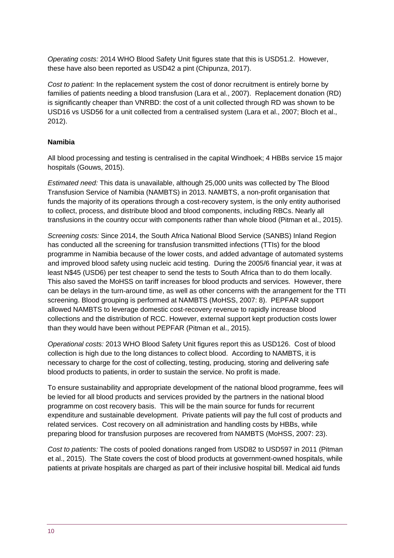*Operating costs:* 2014 WHO Blood Safety Unit figures state that this is USD51.2. However, these have also been reported as USD42 a pint (Chipunza, 2017).

*Cost to patient:* In the replacement system the cost of donor recruitment is entirely borne by families of patients needing a blood transfusion (Lara et al., 2007). Replacement donation (RD) is significantly cheaper than VNRBD: the cost of a unit collected through RD was shown to be USD16 vs USD56 for a unit collected from a centralised system (Lara et al., 2007; Bloch et al., 2012).

#### **Namibia**

All blood processing and testing is centralised in the capital Windhoek; 4 HBBs service 15 major hospitals (Gouws, 2015).

*Estimated need:* This data is unavailable, although 25,000 units was collected by The Blood Transfusion Service of Namibia (NAMBTS) in 2013. NAMBTS, a non-profit organisation that funds the majority of its operations through a cost-recovery system, is the only entity authorised to collect, process, and distribute blood and blood components, including RBCs. Nearly all transfusions in the country occur with components rather than whole blood (Pitman et al., 2015).

*Screening costs:* Since 2014, the South Africa National Blood Service (SANBS) Inland Region has conducted all the screening for transfusion transmitted infections (TTIs) for the blood programme in Namibia because of the lower costs, and added advantage of automated systems and improved blood safety using nucleic acid testing. During the 2005/6 financial year, it was at least N\$45 (USD6) per test cheaper to send the tests to South Africa than to do them locally. This also saved the MoHSS on tariff increases for blood products and services. However, there can be delays in the turn-around time, as well as other concerns with the arrangement for the TTI screening. Blood grouping is performed at NAMBTS (MoHSS, 2007: 8). PEPFAR support allowed NAMBTS to leverage domestic cost-recovery revenue to rapidly increase blood collections and the distribution of RCC. However, external support kept production costs lower than they would have been without PEPFAR (Pitman et al., 2015).

*Operational costs:* 2013 WHO Blood Safety Unit figures report this as USD126.Cost of blood collection is high due to the long distances to collect blood. According to NAMBTS, it is necessary to charge for the cost of collecting, testing, producing, storing and delivering safe blood products to patients, in order to sustain the service. No profit is made.

To ensure sustainability and appropriate development of the national blood programme, fees will be levied for all blood products and services provided by the partners in the national blood programme on cost recovery basis. This will be the main source for funds for recurrent expenditure and sustainable development. Private patients will pay the full cost of products and related services. Cost recovery on all administration and handling costs by HBBs, while preparing blood for transfusion purposes are recovered from NAMBTS (MoHSS, 2007: 23).

*Cost to patients:* The costs of pooled donations ranged from USD82 to USD597 in 2011 (Pitman et al., 2015). The State covers the cost of blood products at government-owned hospitals, while patients at private hospitals are charged as part of their inclusive hospital bill. Medical aid funds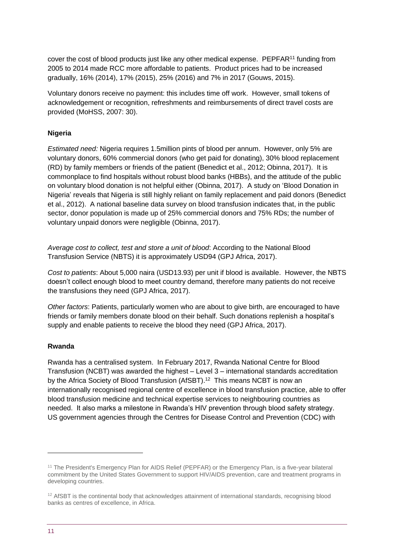cover the cost of blood products just like any other medical expense. PEPFAR<sup>11</sup> funding from 2005 to 2014 made RCC more affordable to patients. Product prices had to be increased gradually, 16% (2014), 17% (2015), 25% (2016) and 7% in 2017 (Gouws, 2015).

Voluntary donors receive no payment: this includes time off work. However, small tokens of acknowledgement or recognition, refreshments and reimbursements of direct travel costs are provided (MoHSS, 2007: 30).

#### **Nigeria**

*Estimated need:* Nigeria requires 1.5million pints of blood per annum. However, only 5% are voluntary donors, 60% commercial donors (who get paid for donating), 30% blood replacement (RD) by family members or friends of the patient (Benedict et al., 2012; Obinna, 2017). It is commonplace to find hospitals without robust blood banks (HBBs), and the attitude of the public on voluntary blood donation is not helpful either (Obinna, 2017). A study on 'Blood Donation in Nigeria' reveals that Nigeria is still highly reliant on family replacement and paid donors (Benedict et al., 2012). A national baseline data survey on blood transfusion indicates that, in the public sector, donor population is made up of 25% commercial donors and 75% RDs; the number of voluntary unpaid donors were negligible (Obinna, 2017).

*Average cost to collect, test and store a unit of blood*: According to the National Blood Transfusion Service (NBTS) it is approximately USD94 (GPJ Africa, 2017).

*Cost to patients*: About 5,000 naira (USD13.93) per unit if blood is available. However, the NBTS doesn't collect enough blood to meet country demand, therefore many patients do not receive the transfusions they need (GPJ Africa, 2017).

*Other factors*: Patients, particularly women who are about to give birth, are encouraged to have friends or family members donate blood on their behalf. Such donations replenish a hospital's supply and enable patients to receive the blood they need (GPJ Africa, 2017).

#### **Rwanda**

Rwanda has a centralised system. In February 2017, Rwanda National Centre for Blood Transfusion (NCBT) was awarded the highest – Level 3 – international standards accreditation by the Africa Society of Blood Transfusion (AfSBT).<sup>12</sup> This means NCBT is now an internationally recognised regional centre of excellence in blood transfusion practice, able to offer blood transfusion medicine and technical expertise services to neighbouring countries as needed. It also marks a milestone in Rwanda's HIV prevention through blood safety strategy. US government agencies through the Centres for Disease Control and Prevention (CDC) with

<sup>&</sup>lt;sup>11</sup> The President's Emergency Plan for AIDS Relief (PEPFAR) or the Emergency Plan, is a five-year bilateral commitment by the United States Government to support HIV/AIDS prevention, care and treatment programs in developing countries.

<sup>&</sup>lt;sup>12</sup> AfSBT is the continental body that acknowledges attainment of international standards, recognising blood banks as centres of excellence, in Africa.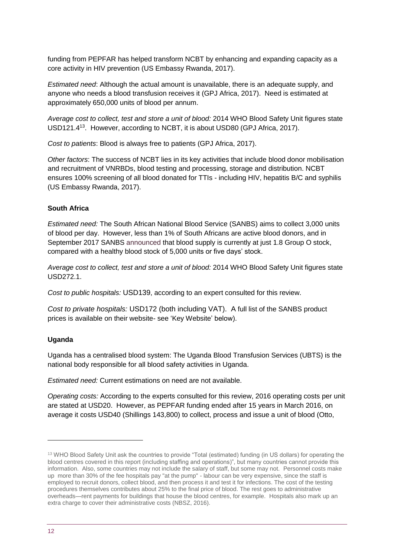funding from PEPFAR has helped transform NCBT by enhancing and expanding capacity as a core activity in HIV prevention (US Embassy Rwanda, 2017).

*Estimated need*: Although the actual amount is unavailable, there is an adequate supply, and anyone who needs a blood transfusion receives it (GPJ Africa, 2017). Need is estimated at approximately 650,000 units of blood per annum.

*Average cost to collect, test and store a unit of blood:* 2014 WHO Blood Safety Unit figures state USD121.4<sup>13</sup>. However, according to NCBT, it is about USD80 (GPJ Africa, 2017).

*Cost to patients*: Blood is always free to patients (GPJ Africa, 2017).

*Other factors*: The success of NCBT lies in its key activities that include blood donor mobilisation and recruitment of VNRBDs, blood testing and processing, storage and distribution. NCBT ensures 100% screening of all blood donated for TTIs - including HIV, hepatitis B/C and syphilis (US Embassy Rwanda, 2017).

#### **South Africa**

*Estimated need:* The South African National Blood Service (SANBS) aims to collect 3,000 units of blood per day. However, less than 1% of South Africans are active blood donors, and in September 2017 SANBS [announced](https://sanbs.org.za/media-release/south-africa-running-blood/) that blood supply is currently at just 1.8 Group O stock, compared with a healthy blood stock of 5,000 units or five days' stock.

*Average cost to collect, test and store a unit of blood:* 2014 WHO Blood Safety Unit figures state USD272.1.

*Cost to public hospitals:* USD139, according to an expert consulted for this review.

*Cost to private hospitals:* USD172 (both including VAT). A full list of the SANBS product prices is available on their website- see 'Key Website' below).

#### **Uganda**

Uganda has a centralised blood system: The Uganda Blood Transfusion Services (UBTS) is the national body responsible for all blood safety activities in Uganda.

*Estimated need:* Current estimations on need are not available.

*Operating costs:* According to the experts consulted for this review, 2016 operating costs per unit are stated at USD20. However, as PEPFAR funding ended after 15 years in March 2016, on average it costs USD40 (Shillings 143,800) to collect, process and issue a unit of blood (Otto,

<sup>&</sup>lt;sup>13</sup> WHO Blood Safety Unit ask the countries to provide "Total (estimated) funding (in US dollars) for operating the blood centres covered in this report (including staffing and operations)", but many countries cannot provide this information. Also, some countries may not include the salary of staff, but some may not. Personnel costs make up more than 30% of the fee hospitals pay "at the pump" - labour can be very expensive, since the staff is employed to recruit donors, collect blood, and then process it and test it for infections. The cost of the testing procedures themselves contributes about 25% to the final price of blood. The rest goes to administrative overheads—rent payments for buildings that house the blood centres, for example. Hospitals also mark up an extra charge to cover their administrative costs (NBSZ, 2016).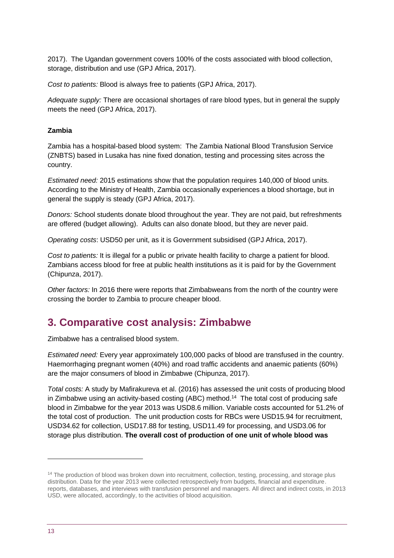2017). The Ugandan government covers 100% of the costs associated with blood collection, storage, distribution and use (GPJ Africa, 2017).

*Cost to patients:* Blood is always free to patients (GPJ Africa, 2017).

*Adequate supply:* There are occasional shortages of rare blood types, but in general the supply meets the need (GPJ Africa, 2017).

#### **Zambia**

Zambia has a hospital-based blood system: The Zambia National Blood Transfusion Service (ZNBTS) based in Lusaka has nine fixed donation, testing and processing sites across the country.

*Estimated need:* 2015 estimations show that the population requires 140,000 of blood units. According to the Ministry of Health, Zambia occasionally experiences a blood shortage, but in general the supply is steady (GPJ Africa, 2017).

*Donors:* School students donate blood throughout the year. They are not paid, but refreshments are offered (budget allowing). Adults can also donate blood, but they are never paid.

*Operating costs*: USD50 per unit, as it is Government subsidised (GPJ Africa, 2017).

*Cost to patients:* It is illegal for a public or private health facility to charge a patient for blood. Zambians access blood for free at public health institutions as it is paid for by the Government (Chipunza, 2017).

*Other factors:* In 2016 there were reports that Zimbabweans from the north of the country were crossing the border to Zambia to procure cheaper blood.

# **3. Comparative cost analysis: Zimbabwe**

Zimbabwe has a centralised blood system.

*Estimated need:* Every year approximately 100,000 packs of blood are transfused in the country. Haemorrhaging pregnant women (40%) and road traffic accidents and anaemic patients (60%) are the major consumers of blood in Zimbabwe (Chipunza, 2017).

*Total costs:* A study by Mafirakureva et al. (2016) has assessed the unit costs of producing blood in Zimbabwe using an activity-based costing (ABC) method.<sup>14</sup> The total cost of producing safe blood in Zimbabwe for the year 2013 was USD8.6 million. Variable costs accounted for 51.2% of the total cost of production. The unit production costs for RBCs were USD15.94 for recruitment, USD34.62 for collection, USD17.88 for testing, USD11.49 for processing, and USD3.06 for storage plus distribution. **The overall cost of production of one unit of whole blood was** 

<sup>&</sup>lt;sup>14</sup> The production of blood was broken down into recruitment, collection, testing, processing, and storage plus distribution. Data for the year 2013 were collected retrospectively from budgets, financial and expenditure. reports, databases, and interviews with transfusion personnel and managers. All direct and indirect costs, in 2013 USD, were allocated, accordingly, to the activities of blood acquisition.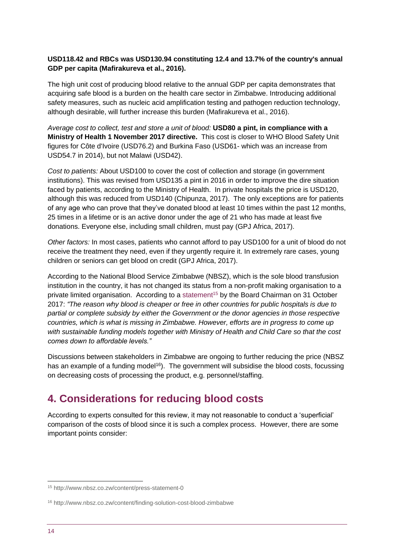#### **USD118.42 and RBCs was USD130.94 constituting 12.4 and 13.7% of the country's annual GDP per capita (Mafirakureva et al., 2016).**

The high unit cost of producing blood relative to the annual GDP per capita demonstrates that acquiring safe blood is a burden on the health care sector in Zimbabwe. Introducing additional safety measures, such as nucleic acid amplification testing and pathogen reduction technology, although desirable, will further increase this burden (Mafirakureva et al., 2016).

*Average cost to collect, test and store a unit of blood:* **USD80 a pint, in compliance with a Ministry of Health 1 November 2017 directive.** This cost is closer to WHO Blood Safety Unit figures for Côte d'Ivoire (USD76.2) and Burkina Faso (USD61- which was an increase from USD54.7 in 2014), but not Malawi (USD42).

*Cost to patients:* About USD100 to cover the cost of collection and storage (in government institutions). This was revised from USD135 a pint in 2016 in order to improve the dire situation faced by patients, according to the Ministry of Health. In private hospitals the price is USD120, although this was reduced from USD140 (Chipunza, 2017). The only exceptions are for patients of any age who can prove that they've donated blood at least 10 times within the past 12 months, 25 times in a lifetime or is an active donor under the age of 21 who has made at least five donations. Everyone else, including small children, must pay (GPJ Africa, 2017).

*Other factors:* In most cases, patients who cannot afford to pay USD100 for a unit of blood do not receive the treatment they need, even if they urgently require it. In extremely rare cases, young children or seniors can get blood on credit (GPJ Africa, 2017).

According to the National Blood Service Zimbabwe (NBSZ), which is the sole blood transfusion institution in the country, it has not changed its status from a non-profit making organisation to a private limited organisation. According to a [statement](http://www.nbsz.co.zw/content/press-statement-0)<sup>15</sup> by the Board Chairman on 31 October 2017: *"The reason why blood is cheaper or free in other countries for public hospitals is due to partial or complete subsidy by either the Government or the donor agencies in those respective countries, which is what is missing in Zimbabwe. However, efforts are in progress to come up with sustainable funding models together with Ministry of Health and Child Care so that the cost comes down to affordable levels."*

Discussions between stakeholders in Zimbabwe are ongoing to further reducing the price (NBSZ has an example of a funding model<sup>16</sup>). The government will subsidise the blood costs, focussing on decreasing costs of processing the product, e.g. personnel/staffing.

# **4. Considerations for reducing blood costs**

According to experts consulted for this review, it may not reasonable to conduct a 'superficial' comparison of the costs of blood since it is such a complex process. However, there are some important points consider:

<sup>15</sup> http://www.nbsz.co.zw/content/press-statement-0

<sup>16</sup> http://www.nbsz.co.zw/content/finding-solution-cost-blood-zimbabwe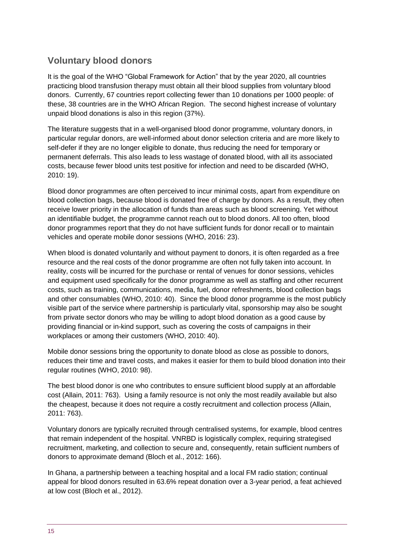# **Voluntary blood donors**

It is the goal of the WHO "Global Framework for Action" that by the year 2020, all countries practicing blood transfusion therapy must obtain all their blood supplies from voluntary blood donors. Currently, 67 countries report collecting fewer than 10 donations per 1000 people: of these, 38 countries are in the WHO African Region. The second highest increase of voluntary unpaid blood donations is also in this region (37%).

The literature suggests that in a well-organised blood donor programme, voluntary donors, in particular regular donors, are well-informed about donor selection criteria and are more likely to self-defer if they are no longer eligible to donate, thus reducing the need for temporary or permanent deferrals. This also leads to less wastage of donated blood, with all its associated costs, because fewer blood units test positive for infection and need to be discarded (WHO, 2010: 19).

Blood donor programmes are often perceived to incur minimal costs, apart from expenditure on blood collection bags, because blood is donated free of charge by donors. As a result, they often receive lower priority in the allocation of funds than areas such as blood screening. Yet without an identifiable budget, the programme cannot reach out to blood donors. All too often, blood donor programmes report that they do not have sufficient funds for donor recall or to maintain vehicles and operate mobile donor sessions (WHO, 2016: 23).

When blood is donated voluntarily and without payment to donors, it is often regarded as a free resource and the real costs of the donor programme are often not fully taken into account. In reality, costs will be incurred for the purchase or rental of venues for donor sessions, vehicles and equipment used specifically for the donor programme as well as staffing and other recurrent costs, such as training, communications, media, fuel, donor refreshments, blood collection bags and other consumables (WHO, 2010: 40). Since the blood donor programme is the most publicly visible part of the service where partnership is particularly vital, sponsorship may also be sought from private sector donors who may be willing to adopt blood donation as a good cause by providing financial or in-kind support, such as covering the costs of campaigns in their workplaces or among their customers (WHO, 2010: 40).

Mobile donor sessions bring the opportunity to donate blood as close as possible to donors, reduces their time and travel costs, and makes it easier for them to build blood donation into their regular routines (WHO, 2010: 98).

The best blood donor is one who contributes to ensure sufficient blood supply at an affordable cost (Allain, 2011: 763). Using a family resource is not only the most readily available but also the cheapest, because it does not require a costly recruitment and collection process (Allain, 2011: 763).

Voluntary donors are typically recruited through centralised systems, for example, blood centres that remain independent of the hospital. VNRBD is logistically complex, requiring strategised recruitment, marketing, and collection to secure and, consequently, retain sufficient numbers of donors to approximate demand (Bloch et al., 2012: 166).

In Ghana, a partnership between a teaching hospital and a local FM radio station; continual appeal for blood donors resulted in 63.6% repeat donation over a 3-year period, a feat achieved at low cost (Bloch et al., 2012).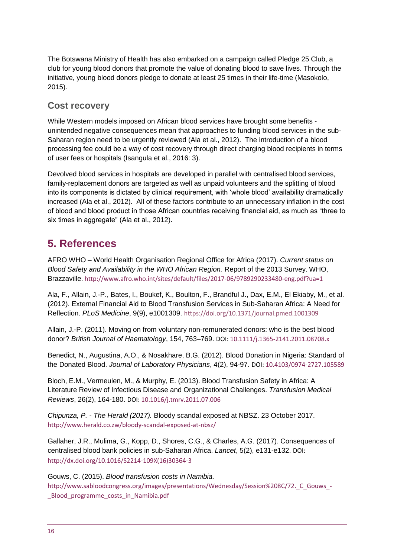The Botswana Ministry of Health has also embarked on a campaign called Pledge 25 Club, a club for young blood donors that promote the value of donating blood to save lives. Through the initiative, young blood donors pledge to donate at least 25 times in their life-time (Masokolo, 2015).

## **Cost recovery**

While Western models imposed on African blood services have brought some benefits unintended negative consequences mean that approaches to funding blood services in the sub-Saharan region need to be urgently reviewed (Ala et al., 2012). The introduction of a blood processing fee could be a way of cost recovery through direct charging blood recipients in terms of user fees or hospitals (Isangula et al., 2016: 3).

Devolved blood services in hospitals are developed in parallel with centralised blood services, family-replacement donors are targeted as well as unpaid volunteers and the splitting of blood into its components is dictated by clinical requirement, with 'whole blood' availability dramatically increased (Ala et al., 2012). All of these factors contribute to an unnecessary inflation in the cost of blood and blood product in those African countries receiving financial aid, as much as "three to six times in aggregate" (Ala et al., 2012).

# <span id="page-15-0"></span>**5. References**

AFRO WHO – World Health Organisation Regional Office for Africa (2017). *Current status on Blood Safety and Availability in the WHO African Region.* Report of the 2013 Survey. WHO, Brazzaville.<http://www.afro.who.int/sites/default/files/2017-06/9789290233480-eng.pdf?ua=1>

Ala, F., Allain, J.-P., Bates, I., Boukef, K., Boulton, F., Brandful J., Dax, E.M., El Ekiaby, M., et al. (2012). External Financial Aid to Blood Transfusion Services in Sub-Saharan Africa: A Need for Reflection. *PLoS Medicine*, 9(9), e1001309. <https://doi.org/10.1371/journal.pmed.1001309>

Allain, J.-P. (2011). Moving on from voluntary non-remunerated donors: who is the best blood donor? *British Journal of Haematology*, 154, 763–769. DOI: [10.1111/j.1365-2141.2011.08708.x](http://onlinelibrary.wiley.com/doi/10.1111/j.1365-2141.2011.08708.x/full)

Benedict, N., Augustina, A.O., & Nosakhare, B.G. (2012). Blood Donation in Nigeria: Standard of the Donated Blood. *Journal of Laboratory Physicians*, 4(2), 94-97. DOI: [10.4103/0974-2727.105589](https://www.ncbi.nlm.nih.gov/pmc/articles/PMC3574505/)

Bloch, E.M., Vermeulen, M., & Murphy, E. (2013). Blood Transfusion Safety in Africa: A Literature Review of Infectious Disease and Organizational Challenges. *Transfusion Medical Reviews*, 26(2), 164-180. DOI: [10.1016/j.tmrv.2011.07.006](https://dx.doi.org/10.1016%2Fj.tmrv.2011.07.006)

*Chipunza, P. - The Herald (2017).* Bloody scandal exposed at NBSZ. 23 October 2017. <http://www.herald.co.zw/bloody-scandal-exposed-at-nbsz/>

Gallaher, J.R., Mulima, G., Kopp, D., Shores, C.G., & Charles, A.G. (2017). Consequences of centralised blood bank policies in sub-Saharan Africa. *Lancet*, 5(2), e131-e132. DOI: [http://dx.doi.org/10.1016/S2214-109X\(16\)30364-3](http://dx.doi.org/10.1016/S2214-109X(16)30364-3)

Gouws, C. (2015). *Blood transfusion costs in Namibia.* 

http://www.sabloodcongress.org/images/presentations/Wednesday/Session%208C/72. C Gouws -[\\_Blood\\_programme\\_costs\\_in\\_Namibia.pdf](http://www.sabloodcongress.org/images/presentations/Wednesday/Session%208C/72._C_Gouws_-_Blood_programme_costs_in_Namibia.pdf)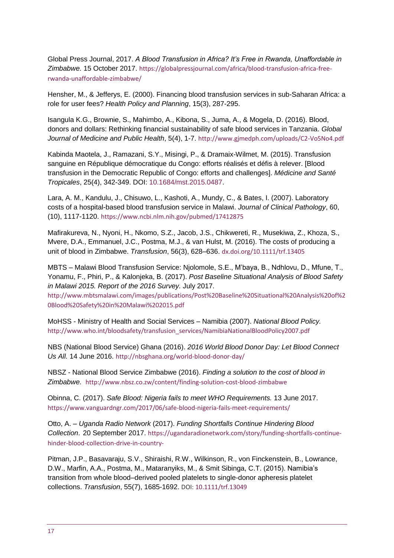Global Press Journal, 2017. *A Blood Transfusion in Africa? It's Free in Rwanda, Unaffordable in Zimbabwe.* 15 October 2017. [https://globalpressjournal.com/africa/blood-transfusion-africa-free](https://globalpressjournal.com/africa/blood-transfusion-africa-free-rwanda-unaffordable-zimbabwe/)[rwanda-unaffordable-zimbabwe/](https://globalpressjournal.com/africa/blood-transfusion-africa-free-rwanda-unaffordable-zimbabwe/)

Hensher, M., & Jefferys, E. (2000). Financing blood transfusion services in sub-Saharan Africa: a role for user fees? *Health Policy and Planning*, 15(3), 287-295.

Isangula K.G., Brownie, S., Mahimbo, A., Kibona, S., Juma, A., & Mogela, D. (2016). Blood, donors and dollars: Rethinking financial sustainability of safe blood services in Tanzania. *Global Journal of Medicine and Public Health*, 5(4), 1-7. <http://www.gjmedph.com/uploads/C2-Vo5No4.pdf>

Kabinda Maotela, J., Ramazani, S.Y., Misingi, P., & Dramaix-Wilmet, M. (2015). Transfusion sanguine en République démocratique du Congo: efforts réalisés et défis à relever. [\[Blood](https://www.ncbi.nlm.nih.gov/pubmed/26742551)  [transfusion in the Democratic Republic of Congo: efforts and challenges\].](https://www.ncbi.nlm.nih.gov/pubmed/26742551) *Médicine and Santé Tropicales*, 25(4), 342-349. DOI: [10.1684/mst.2015.0487.](https://www.ncbi.nlm.nih.gov/pubmed/26742551)

Lara, A. M., Kandulu, J., Chisuwo, L., Kashoti, A., Mundy, C., & Bates, I. (2007). Laboratory costs of a hospital-based blood transfusion service in Malawi. *Journal of Clinical Pathology*, 60, (10), 1117-1120. <https://www.ncbi.nlm.nih.gov/pubmed/17412875>

Mafirakureva, N., Nyoni, H., Nkomo, S.Z., Jacob, J.S., Chikwereti, R., Musekiwa, Z., Khoza, S., Mvere, D.A., Emmanuel, J.C., Postma, M.J., & van Hulst, M. (2016). The costs of producing a unit of blood in Zimbabwe. *Transfusion*, 56(3), 628–636. [dx.doi.org/10.1111/trf.13405](file:///C:/Users/hssktu/AppData/Local/Microsoft/Windows/Temporary%20Internet%20Files/Content.Outlook/SJZTLAG5/dx.doi.org/10.1111/trf.13405)

MBTS – Malawi Blood Transfusion Service: Njolomole, S.E., M'baya, B., Ndhlovu, D., Mfune, T., Yonamu, F., Phiri, P., & Kalonjeka, B. (2017). *Post Baseline Situational Analysis of Blood Safety in Malawi 2015. Report of the 2016 Survey.* July 2017.

[http://www.mbtsmalawi.com/images/publications/Post%20Baseline%20Situational%20Analysis%20of%2](http://www.mbtsmalawi.com/images/publications/Post%20Baseline%20Situational%20Analysis%20of%20Blood%20Safety%20in%20Malawi%202015.pdf) [0Blood%20Safety%20in%20Malawi%202015.pdf](http://www.mbtsmalawi.com/images/publications/Post%20Baseline%20Situational%20Analysis%20of%20Blood%20Safety%20in%20Malawi%202015.pdf)

MoHSS - Ministry of Health and Social Services – Namibia (2007). *National Blood Policy.* [http://www.who.int/bloodsafety/transfusion\\_services/NamibiaNationalBloodPolicy2007.pdf](http://www.who.int/bloodsafety/transfusion_services/NamibiaNationalBloodPolicy2007.pdf)

NBS (National Blood Service) Ghana (2016). *2016 World Blood Donor Day: Let Blood Connect Us All.* 14 June 2016. <http://nbsghana.org/world-blood-donor-day/>

NBSZ - National Blood Service Zimbabwe (2016). *Finding a solution to the cost of blood in Zimbabwe.* <http://www.nbsz.co.zw/content/finding-solution-cost-blood-zimbabwe>

Obinna, C. (2017). *Safe Blood: Nigeria fails to meet WHO Requirements.* 13 June 2017. <https://www.vanguardngr.com/2017/06/safe-blood-nigeria-fails-meet-requirements/>

Otto, A. – *Uganda Radio Network* (2017). *Funding Shortfalls Continue Hindering Blood Collection*. 20 September 2017. [https://ugandaradionetwork.com/story/funding-shortfalls-continue](https://ugandaradionetwork.com/story/funding-shortfalls-continue-hinder-blood-collection-drive-in-country-)[hinder-blood-collection-drive-in-country-](https://ugandaradionetwork.com/story/funding-shortfalls-continue-hinder-blood-collection-drive-in-country-)

Pitman, J.P., Basavaraju, S.V., Shiraishi, R.W., Wilkinson, R., von Finckenstein, B., Lowrance, D.W., Marfin, A.A., Postma, M., Mataranyiks, M., & Smit Sibinga, C.T. (2015). Namibia's transition from whole blood–derived pooled platelets to single-donor apheresis platelet collections. *Transfusion*, 55(7), 1685-1692. DOI: [10.1111/trf.13049](https://www.ncbi.nlm.nih.gov/pmc/articles/PMC4607307/)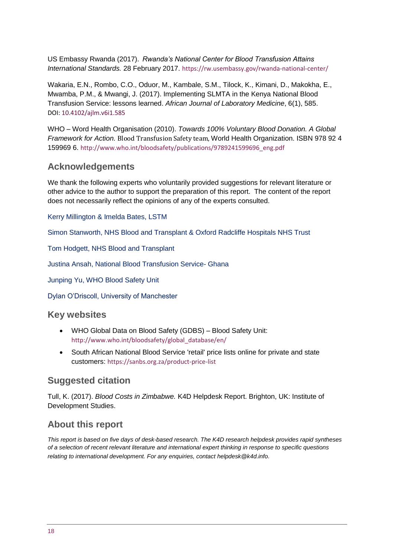US Embassy Rwanda (2017). *Rwanda's National Center for Blood Transfusion Attains International Standards.* 28 February 2017. <https://rw.usembassy.gov/rwanda-national-center/>

Wakaria, E.N., Rombo, C.O., Oduor, M., Kambale, S.M., Tilock, K., Kimani, D., Makokha, E., Mwamba, P.M., & Mwangi, J. (2017). Implementing SLMTA in the Kenya National Blood Transfusion Service: lessons learned. *African Journal of Laboratory Medicine*, 6(1), 585. DOI: [10.4102/ajlm.v6i1.585](http://dx.doi.org/10.4102%2Fajlm.v6i1.585)

WHO – Word Health Organisation (2010). *Towards 100% Voluntary Blood Donation. A Global Framework for Action.* Blood Transfusion Safety team, World Health Organization. ISBN 978 92 4 159969 6. [http://www.who.int/bloodsafety/publications/9789241599696\\_eng.pdf](http://www.who.int/bloodsafety/publications/9789241599696_eng.pdf)

### **Acknowledgements**

We thank the following experts who voluntarily provided suggestions for relevant literature or other advice to the author to support the preparation of this report. The content of the report does not necessarily reflect the opinions of any of the experts consulted.

Kerry Millington & Imelda Bates, LSTM

Simon Stanworth, NHS Blood and Transplant & Oxford Radcliffe Hospitals NHS Trust

Tom Hodgett, NHS Blood and Transplant

Justina Ansah, National Blood Transfusion Service- Ghana

Junping Yu, WHO Blood Safety Unit

Dylan O'Driscoll, University of Manchester

### **Key websites**

- WHO Global Data on Blood Safety (GDBS) Blood Safety Unit: [http://www.who.int/bloodsafety/global\\_database/en/](http://www.who.int/bloodsafety/global_database/en/)
- South African National Blood Service 'retail' price lists online for private and state customers: [https://sanbs.org.za/product-price-list](https://sanbs.org.za/product-price-list/)

### **Suggested citation**

Tull, K. (2017). *Blood Costs in Zimbabwe.* K4D Helpdesk Report. Brighton, UK: Institute of Development Studies.

### **About this report**

*This report is based on five days of desk-based research. The K4D research helpdesk provides rapid syntheses of a selection of recent relevant literature and international expert thinking in response to specific questions relating to international development. For any enquiries, contact helpdesk@k4d.info.*